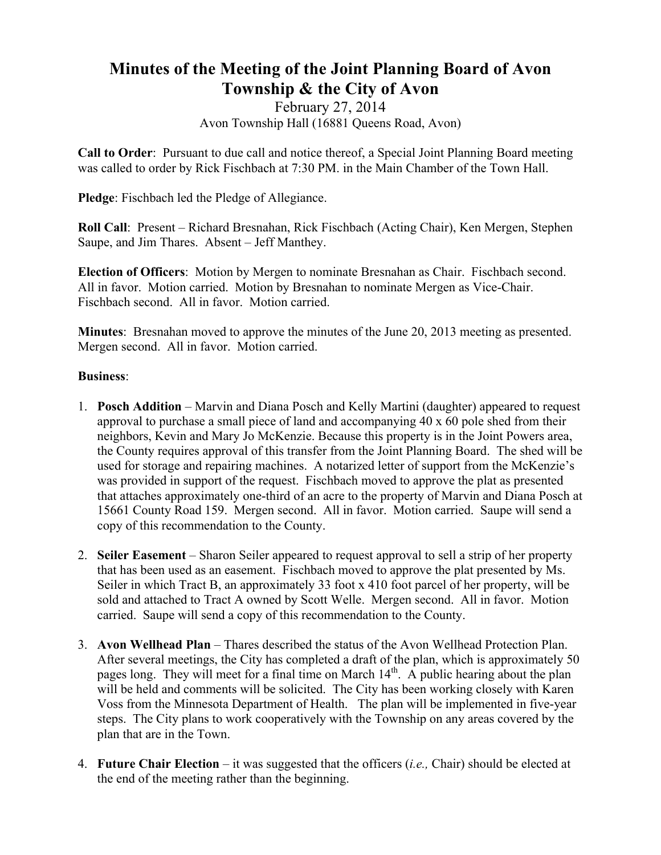## **Minutes of the Meeting of the Joint Planning Board of Avon Township & the City of Avon**

February 27, 2014 Avon Township Hall (16881 Queens Road, Avon)

**Call to Order**: Pursuant to due call and notice thereof, a Special Joint Planning Board meeting was called to order by Rick Fischbach at 7:30 PM. in the Main Chamber of the Town Hall.

**Pledge**: Fischbach led the Pledge of Allegiance.

**Roll Call**: Present – Richard Bresnahan, Rick Fischbach (Acting Chair), Ken Mergen, Stephen Saupe, and Jim Thares. Absent – Jeff Manthey.

**Election of Officers**: Motion by Mergen to nominate Bresnahan as Chair. Fischbach second. All in favor. Motion carried. Motion by Bresnahan to nominate Mergen as Vice-Chair. Fischbach second. All in favor. Motion carried.

**Minutes**: Bresnahan moved to approve the minutes of the June 20, 2013 meeting as presented. Mergen second. All in favor. Motion carried.

## **Business**:

- 1. **Posch Addition** Marvin and Diana Posch and Kelly Martini (daughter) appeared to request approval to purchase a small piece of land and accompanying 40 x 60 pole shed from their neighbors, Kevin and Mary Jo McKenzie. Because this property is in the Joint Powers area, the County requires approval of this transfer from the Joint Planning Board. The shed will be used for storage and repairing machines. A notarized letter of support from the McKenzie's was provided in support of the request. Fischbach moved to approve the plat as presented that attaches approximately one-third of an acre to the property of Marvin and Diana Posch at 15661 County Road 159. Mergen second. All in favor. Motion carried. Saupe will send a copy of this recommendation to the County.
- 2. **Seiler Easement** Sharon Seiler appeared to request approval to sell a strip of her property that has been used as an easement. Fischbach moved to approve the plat presented by Ms. Seiler in which Tract B, an approximately 33 foot x 410 foot parcel of her property, will be sold and attached to Tract A owned by Scott Welle. Mergen second. All in favor. Motion carried. Saupe will send a copy of this recommendation to the County.
- 3. **Avon Wellhead Plan** Thares described the status of the Avon Wellhead Protection Plan. After several meetings, the City has completed a draft of the plan, which is approximately 50 pages long. They will meet for a final time on March  $14<sup>th</sup>$ . A public hearing about the plan will be held and comments will be solicited. The City has been working closely with Karen Voss from the Minnesota Department of Health. The plan will be implemented in five-year steps. The City plans to work cooperatively with the Township on any areas covered by the plan that are in the Town.
- 4. **Future Chair Election**  it was suggested that the officers (*i.e.,* Chair) should be elected at the end of the meeting rather than the beginning.